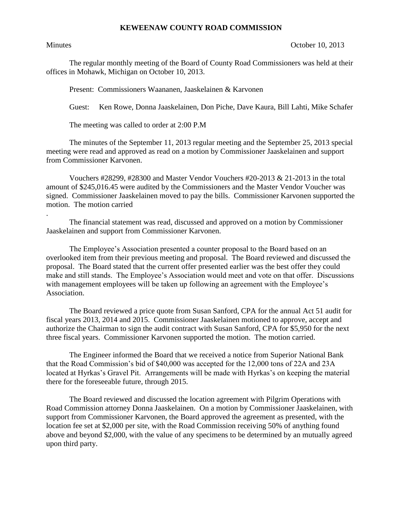## **KEWEENAW COUNTY ROAD COMMISSION**

.

Minutes **October 10, 2013** 

The regular monthly meeting of the Board of County Road Commissioners was held at their offices in Mohawk, Michigan on October 10, 2013.

Present: Commissioners Waananen, Jaaskelainen & Karvonen

Guest: Ken Rowe, Donna Jaaskelainen, Don Piche, Dave Kaura, Bill Lahti, Mike Schafer

The meeting was called to order at 2:00 P.M

The minutes of the September 11, 2013 regular meeting and the September 25, 2013 special meeting were read and approved as read on a motion by Commissioner Jaaskelainen and support from Commissioner Karvonen.

Vouchers #28299, #28300 and Master Vendor Vouchers #20-2013 & 21-2013 in the total amount of \$245,016.45 were audited by the Commissioners and the Master Vendor Voucher was signed. Commissioner Jaaskelainen moved to pay the bills. Commissioner Karvonen supported the motion. The motion carried

The financial statement was read, discussed and approved on a motion by Commissioner Jaaskelainen and support from Commissioner Karvonen.

The Employee's Association presented a counter proposal to the Board based on an overlooked item from their previous meeting and proposal. The Board reviewed and discussed the proposal. The Board stated that the current offer presented earlier was the best offer they could make and still stands. The Employee's Association would meet and vote on that offer. Discussions with management employees will be taken up following an agreement with the Employee's Association.

The Board reviewed a price quote from Susan Sanford, CPA for the annual Act 51 audit for fiscal years 2013, 2014 and 2015. Commissioner Jaaskelainen motioned to approve, accept and authorize the Chairman to sign the audit contract with Susan Sanford, CPA for \$5,950 for the next three fiscal years. Commissioner Karvonen supported the motion. The motion carried.

The Engineer informed the Board that we received a notice from Superior National Bank that the Road Commission's bid of \$40,000 was accepted for the 12,000 tons of 22A and 23A located at Hyrkas's Gravel Pit. Arrangements will be made with Hyrkas's on keeping the material there for the foreseeable future, through 2015.

The Board reviewed and discussed the location agreement with Pilgrim Operations with Road Commission attorney Donna Jaaskelainen. On a motion by Commissioner Jaaskelainen, with support from Commissioner Karvonen, the Board approved the agreement as presented, with the location fee set at \$2,000 per site, with the Road Commission receiving 50% of anything found above and beyond \$2,000, with the value of any specimens to be determined by an mutually agreed upon third party.